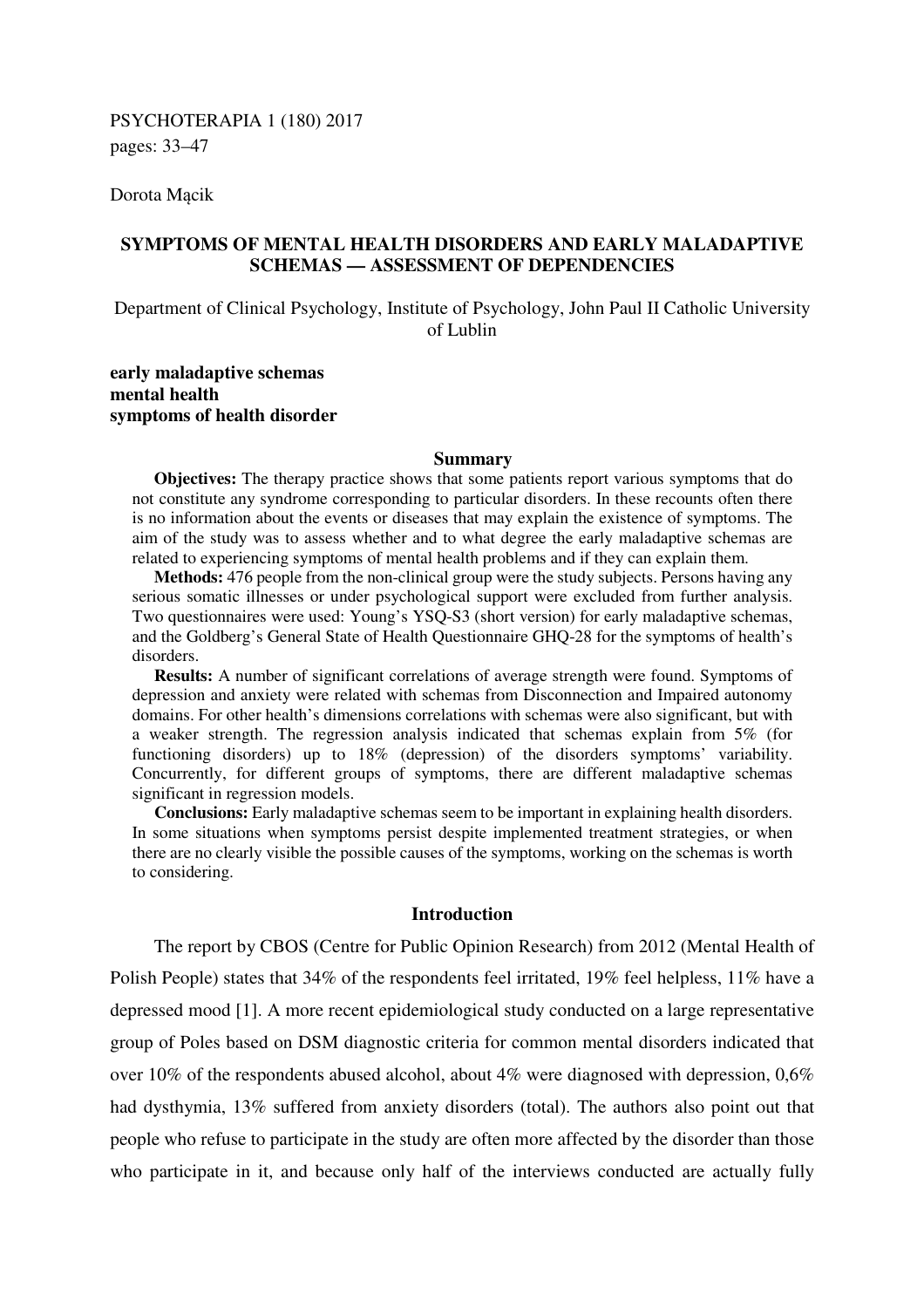Dorota Mącik

# **SYMPTOMS OF MENTAL HEALTH DISORDERS AND EARLY MALADAPTIVE SCHEMAS — ASSESSMENT OF DEPENDENCIES**

Department of Clinical Psychology, Institute of Psychology, John Paul II Catholic University of Lublin

## **early maladaptive schemas mental health symptoms of health disorder**

#### **Summary**

**Objectives:** The therapy practice shows that some patients report various symptoms that do not constitute any syndrome corresponding to particular disorders. In these recounts often there is no information about the events or diseases that may explain the existence of symptoms. The aim of the study was to assess whether and to what degree the early maladaptive schemas are related to experiencing symptoms of mental health problems and if they can explain them.

**Methods:** 476 people from the non-clinical group were the study subjects. Persons having any serious somatic illnesses or under psychological support were excluded from further analysis. Two questionnaires were used: Young's YSQ-S3 (short version) for early maladaptive schemas, and the Goldberg's General State of Health Questionnaire GHQ-28 for the symptoms of health's disorders.

**Results:** A number of significant correlations of average strength were found. Symptoms of depression and anxiety were related with schemas from Disconnection and Impaired autonomy domains. For other health's dimensions correlations with schemas were also significant, but with a weaker strength. The regression analysis indicated that schemas explain from 5% (for functioning disorders) up to 18% (depression) of the disorders symptoms' variability. Concurrently, for different groups of symptoms, there are different maladaptive schemas significant in regression models.

**Conclusions:** Early maladaptive schemas seem to be important in explaining health disorders. In some situations when symptoms persist despite implemented treatment strategies, or when there are no clearly visible the possible causes of the symptoms, working on the schemas is worth to considering.

## **Introduction**

The report by CBOS (Centre for Public Opinion Research) from 2012 (Mental Health of Polish People) states that 34% of the respondents feel irritated, 19% feel helpless, 11% have a depressed mood [1]. A more recent epidemiological study conducted on a large representative group of Poles based on DSM diagnostic criteria for common mental disorders indicated that over 10% of the respondents abused alcohol, about 4% were diagnosed with depression, 0,6% had dysthymia, 13% suffered from anxiety disorders (total). The authors also point out that people who refuse to participate in the study are often more affected by the disorder than those who participate in it, and because only half of the interviews conducted are actually fully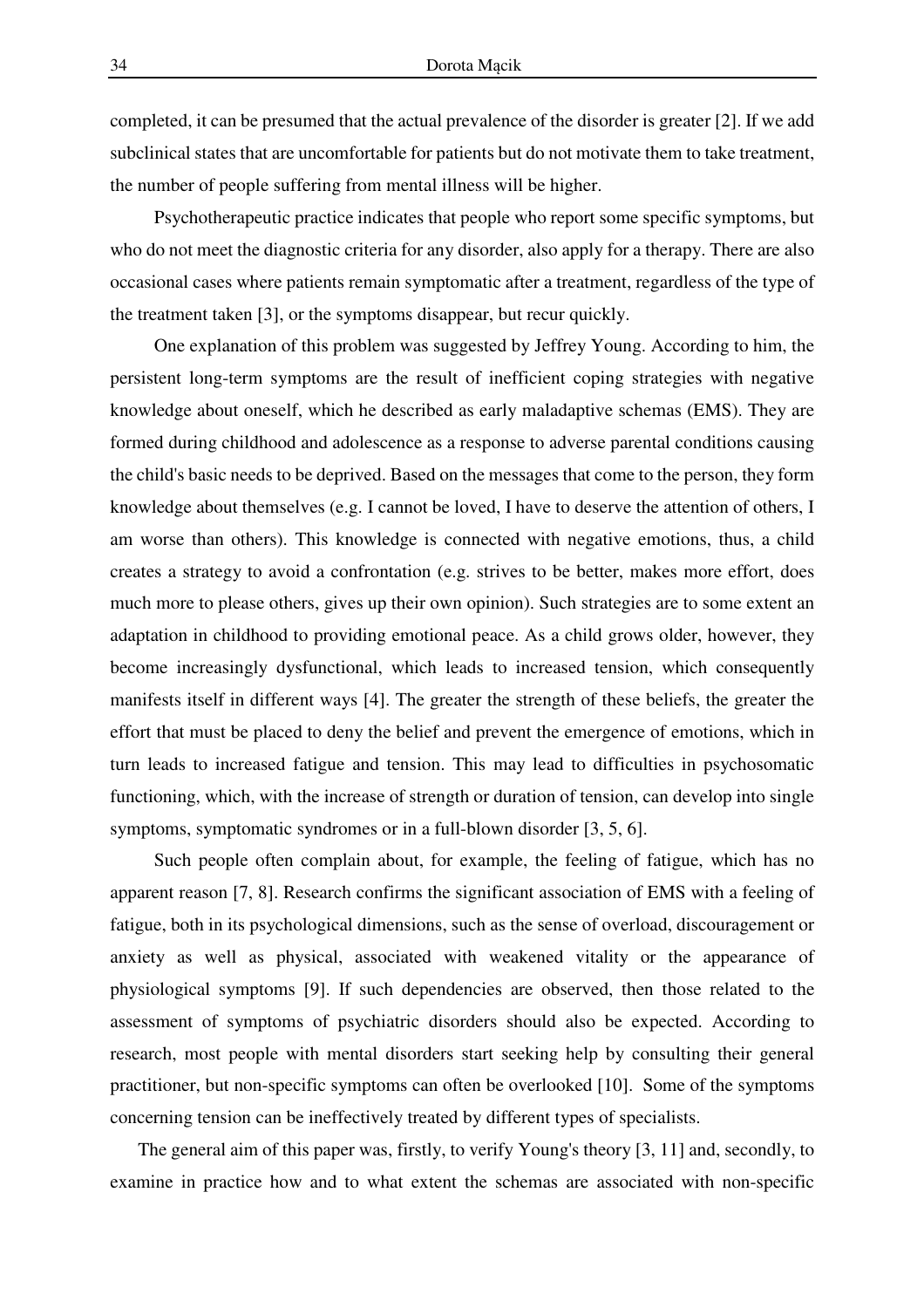completed, it can be presumed that the actual prevalence of the disorder is greater [2]. If we add subclinical states that are uncomfortable for patients but do not motivate them to take treatment, the number of people suffering from mental illness will be higher.

Psychotherapeutic practice indicates that people who report some specific symptoms, but who do not meet the diagnostic criteria for any disorder, also apply for a therapy. There are also occasional cases where patients remain symptomatic after a treatment, regardless of the type of the treatment taken [3], or the symptoms disappear, but recur quickly.

One explanation of this problem was suggested by Jeffrey Young. According to him, the persistent long-term symptoms are the result of inefficient coping strategies with negative knowledge about oneself, which he described as early maladaptive schemas (EMS). They are formed during childhood and adolescence as a response to adverse parental conditions causing the child's basic needs to be deprived. Based on the messages that come to the person, they form knowledge about themselves (e.g. I cannot be loved, I have to deserve the attention of others, I am worse than others). This knowledge is connected with negative emotions, thus, a child creates a strategy to avoid a confrontation (e.g. strives to be better, makes more effort, does much more to please others, gives up their own opinion). Such strategies are to some extent an adaptation in childhood to providing emotional peace. As a child grows older, however, they become increasingly dysfunctional, which leads to increased tension, which consequently manifests itself in different ways [4]. The greater the strength of these beliefs, the greater the effort that must be placed to deny the belief and prevent the emergence of emotions, which in turn leads to increased fatigue and tension. This may lead to difficulties in psychosomatic functioning, which, with the increase of strength or duration of tension, can develop into single symptoms, symptomatic syndromes or in a full-blown disorder [3, 5, 6].

Such people often complain about, for example, the feeling of fatigue, which has no apparent reason [7, 8]. Research confirms the significant association of EMS with a feeling of fatigue, both in its psychological dimensions, such as the sense of overload, discouragement or anxiety as well as physical, associated with weakened vitality or the appearance of physiological symptoms [9]. If such dependencies are observed, then those related to the assessment of symptoms of psychiatric disorders should also be expected. According to research, most people with mental disorders start seeking help by consulting their general practitioner, but non-specific symptoms can often be overlooked [10]. Some of the symptoms concerning tension can be ineffectively treated by different types of specialists.

The general aim of this paper was, firstly, to verify Young's theory [3, 11] and, secondly, to examine in practice how and to what extent the schemas are associated with non-specific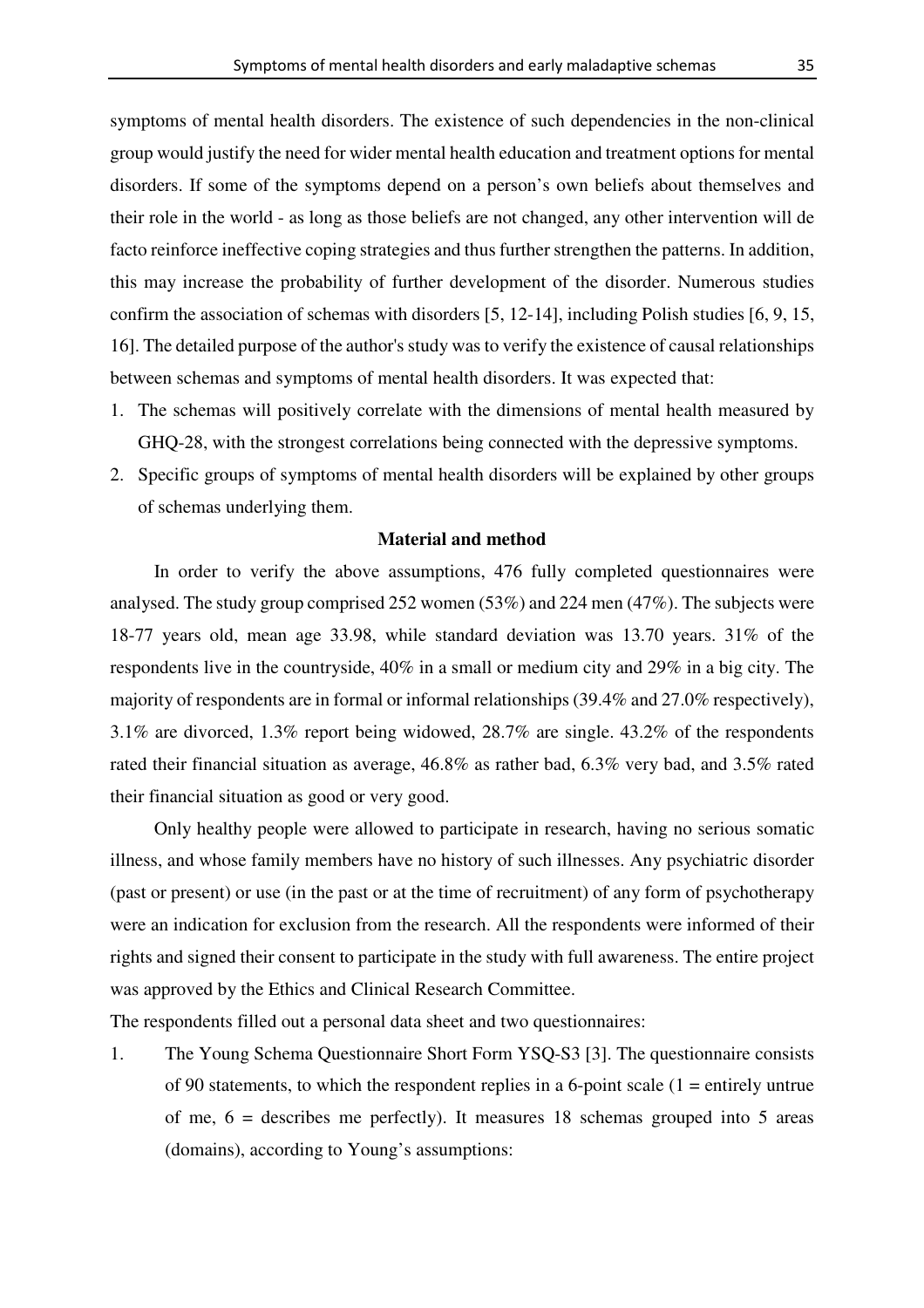symptoms of mental health disorders. The existence of such dependencies in the non-clinical group would justify the need for wider mental health education and treatment options for mental disorders. If some of the symptoms depend on a person's own beliefs about themselves and their role in the world - as long as those beliefs are not changed, any other intervention will de facto reinforce ineffective coping strategies and thus further strengthen the patterns. In addition, this may increase the probability of further development of the disorder. Numerous studies confirm the association of schemas with disorders [5, 12-14], including Polish studies [6, 9, 15, 16]. The detailed purpose of the author's study was to verify the existence of causal relationships between schemas and symptoms of mental health disorders. It was expected that:

- 1. The schemas will positively correlate with the dimensions of mental health measured by GHQ-28, with the strongest correlations being connected with the depressive symptoms.
- 2. Specific groups of symptoms of mental health disorders will be explained by other groups of schemas underlying them.

## **Material and method**

In order to verify the above assumptions, 476 fully completed questionnaires were analysed. The study group comprised 252 women (53%) and 224 men (47%). The subjects were 18-77 years old, mean age 33.98, while standard deviation was 13.70 years. 31% of the respondents live in the countryside, 40% in a small or medium city and 29% in a big city. The majority of respondents are in formal or informal relationships (39.4% and 27.0% respectively), 3.1% are divorced, 1.3% report being widowed, 28.7% are single. 43.2% of the respondents rated their financial situation as average, 46.8% as rather bad, 6.3% very bad, and 3.5% rated their financial situation as good or very good.

Only healthy people were allowed to participate in research, having no serious somatic illness, and whose family members have no history of such illnesses. Any psychiatric disorder (past or present) or use (in the past or at the time of recruitment) of any form of psychotherapy were an indication for exclusion from the research. All the respondents were informed of their rights and signed their consent to participate in the study with full awareness. The entire project was approved by the Ethics and Clinical Research Committee.

The respondents filled out a personal data sheet and two questionnaires:

1. The Young Schema Questionnaire Short Form YSQ-S3 [3]. The questionnaire consists of 90 statements, to which the respondent replies in a 6-point scale  $(1 =$  entirely untrue of me, 6 = describes me perfectly). It measures 18 schemas grouped into 5 areas (domains), according to Young's assumptions: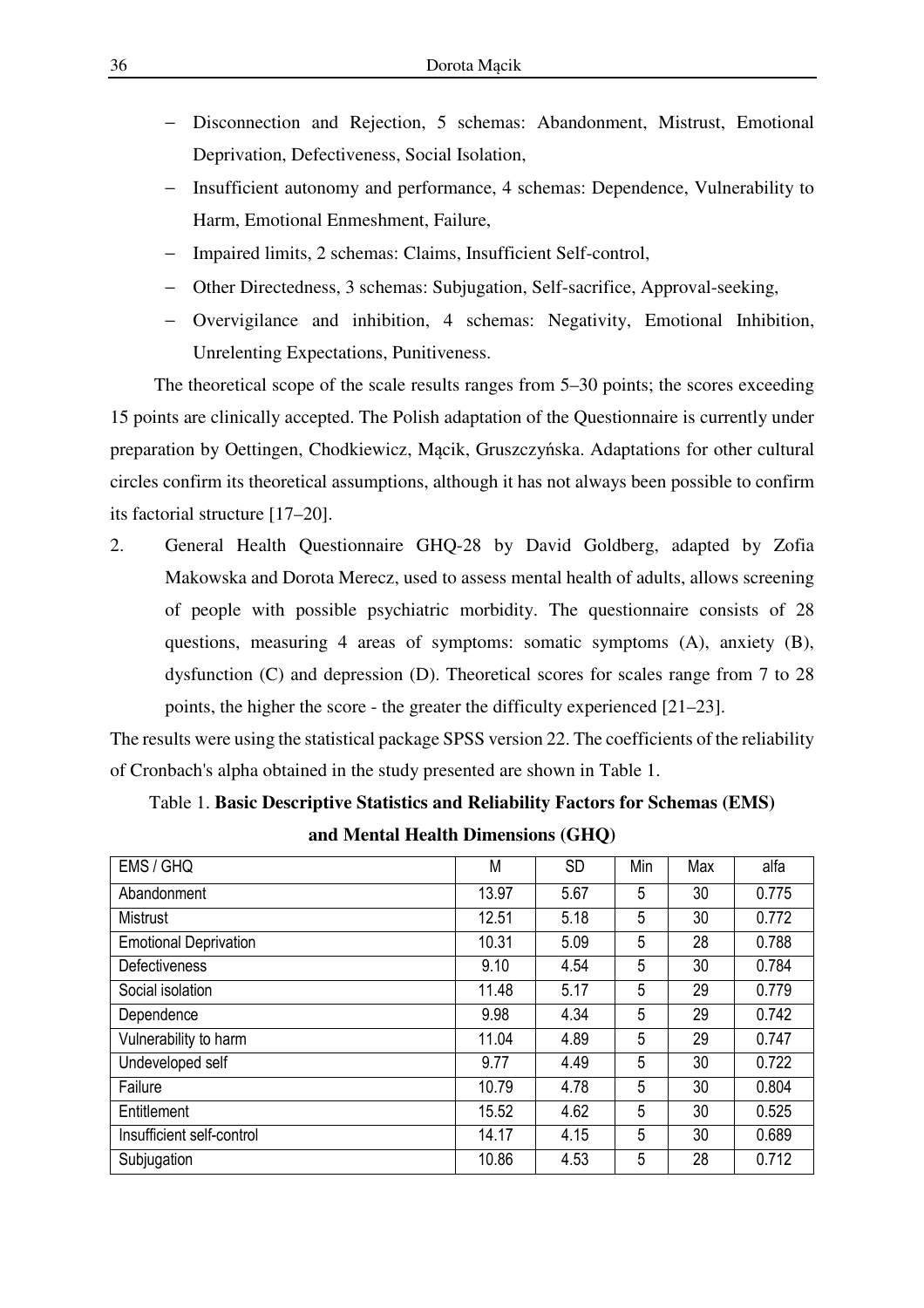- Disconnection and Rejection, 5 schemas: Abandonment, Mistrust, Emotional Deprivation, Defectiveness, Social Isolation,
- Insufficient autonomy and performance, 4 schemas: Dependence, Vulnerability to Harm, Emotional Enmeshment, Failure,
- − Impaired limits, 2 schemas: Claims, Insufficient Self-control,
- − Other Directedness, 3 schemas: Subjugation, Self-sacrifice, Approval-seeking,
- − Overvigilance and inhibition, 4 schemas: Negativity, Emotional Inhibition, Unrelenting Expectations, Punitiveness.

The theoretical scope of the scale results ranges from 5–30 points; the scores exceeding 15 points are clinically accepted. The Polish adaptation of the Questionnaire is currently under preparation by Oettingen, Chodkiewicz, Mącik, Gruszczyńska. Adaptations for other cultural circles confirm its theoretical assumptions, although it has not always been possible to confirm its factorial structure [17–20].

2. General Health Questionnaire GHQ-28 by David Goldberg, adapted by Zofia Makowska and Dorota Merecz, used to assess mental health of adults, allows screening of people with possible psychiatric morbidity. The questionnaire consists of 28 questions, measuring 4 areas of symptoms: somatic symptoms (A), anxiety (B), dysfunction (C) and depression (D). Theoretical scores for scales range from 7 to 28 points, the higher the score - the greater the difficulty experienced [21–23].

The results were using the statistical package SPSS version 22. The coefficients of the reliability of Cronbach's alpha obtained in the study presented are shown in Table 1.

# Table 1. **Basic Descriptive Statistics and Reliability Factors for Schemas (EMS) and Mental Health Dimensions (GHQ)**

| EMS / GHQ                    | M     | <b>SD</b> | Min | Max | alfa  |
|------------------------------|-------|-----------|-----|-----|-------|
| Abandonment                  | 13.97 | 5.67      | 5   | 30  | 0.775 |
| <b>Mistrust</b>              | 12.51 | 5.18      | 5   | 30  | 0.772 |
| <b>Emotional Deprivation</b> | 10.31 | 5.09      | 5   | 28  | 0.788 |
| <b>Defectiveness</b>         | 9.10  | 4.54      | 5   | 30  | 0.784 |
| Social isolation             | 11.48 | 5.17      | 5   | 29  | 0.779 |
| Dependence                   | 9.98  | 4.34      | 5   | 29  | 0.742 |
| Vulnerability to harm        | 11.04 | 4.89      | 5   | 29  | 0.747 |
| Undeveloped self             | 9.77  | 4.49      | 5   | 30  | 0.722 |
| Failure                      | 10.79 | 4.78      | 5   | 30  | 0.804 |
| Entitlement                  | 15.52 | 4.62      | 5   | 30  | 0.525 |
| Insufficient self-control    | 14.17 | 4.15      | 5   | 30  | 0.689 |
| Subjugation                  | 10.86 | 4.53      | 5   | 28  | 0.712 |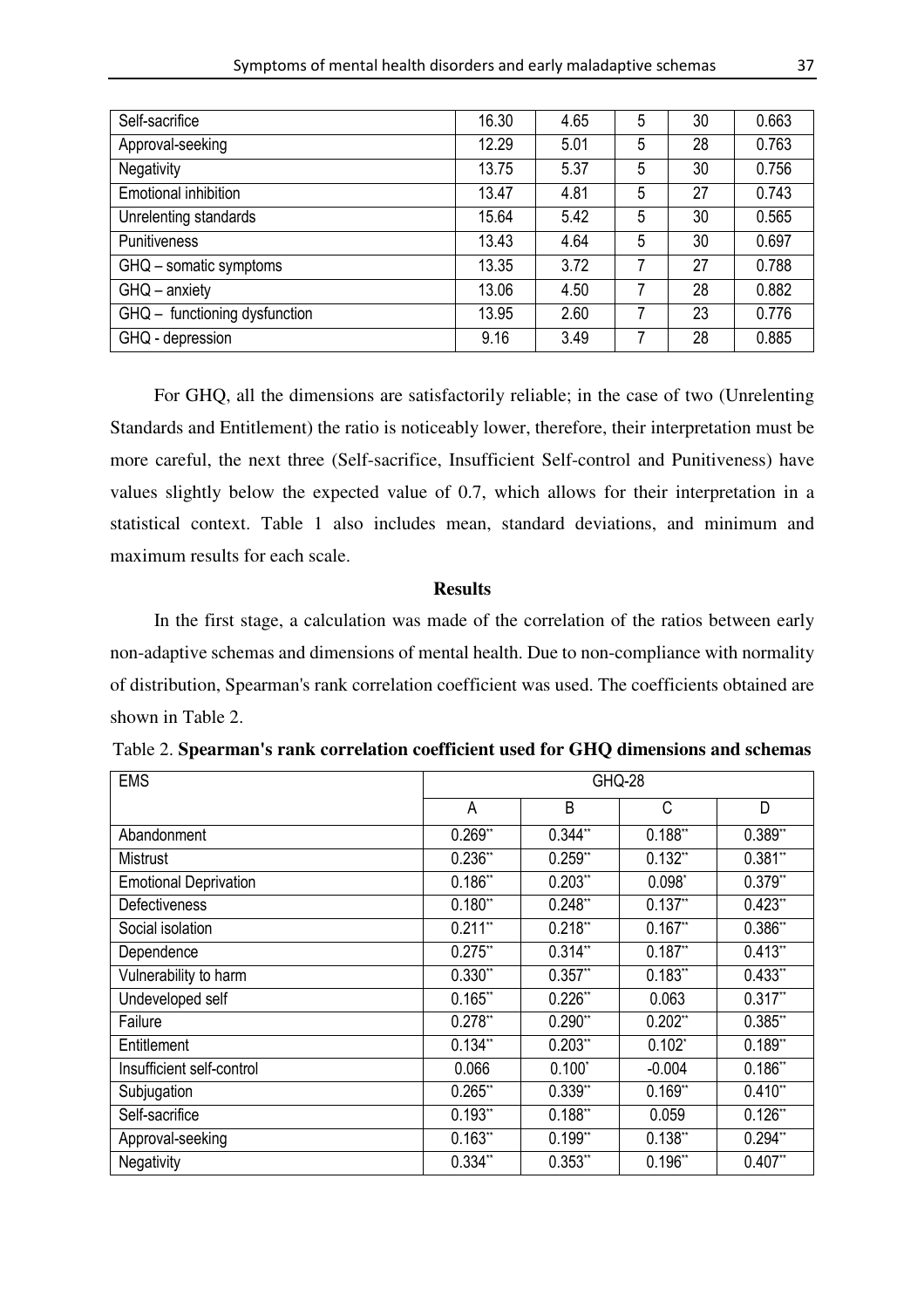| Self-sacrifice                | 16.30 | 4.65 | 5 | 30 | 0.663 |
|-------------------------------|-------|------|---|----|-------|
| Approval-seeking              | 12.29 | 5.01 | 5 | 28 | 0.763 |
| Negativity                    | 13.75 | 5.37 | 5 | 30 | 0.756 |
| Emotional inhibition          | 13.47 | 4.81 | 5 | 27 | 0.743 |
| Unrelenting standards         | 15.64 | 5.42 | 5 | 30 | 0.565 |
| <b>Punitiveness</b>           | 13.43 | 4.64 | 5 | 30 | 0.697 |
| GHQ - somatic symptoms        | 13.35 | 3.72 | 7 | 27 | 0.788 |
| $GHQ -$ anxiety               | 13.06 | 4.50 | 7 | 28 | 0.882 |
| GHQ - functioning dysfunction | 13.95 | 2.60 | 7 | 23 | 0.776 |
| GHQ - depression              | 9.16  | 3.49 |   | 28 | 0.885 |

For GHQ, all the dimensions are satisfactorily reliable; in the case of two (Unrelenting Standards and Entitlement) the ratio is noticeably lower, therefore, their interpretation must be more careful, the next three (Self-sacrifice, Insufficient Self-control and Punitiveness) have values slightly below the expected value of 0.7, which allows for their interpretation in a statistical context. Table 1 also includes mean, standard deviations, and minimum and maximum results for each scale.

## **Results**

In the first stage, a calculation was made of the correlation of the ratios between early non-adaptive schemas and dimensions of mental health. Due to non-compliance with normality of distribution, Spearman's rank correlation coefficient was used. The coefficients obtained are shown in Table 2.

| <b>EMS</b>                   | GHQ-28     |            |            |            |  |  |  |
|------------------------------|------------|------------|------------|------------|--|--|--|
|                              | A          | B          | C          | D          |  |  |  |
| Abandonment                  | $0.269**$  | $0.344**$  | $0.188**$  | $0.389**$  |  |  |  |
| Mistrust                     | $0.236**$  | $0.259**$  | $0.132**$  | $0.381**$  |  |  |  |
| <b>Emotional Deprivation</b> | 0.186"     | $0.203$ ** | $0.098*$   | $0.379**$  |  |  |  |
| <b>Defectiveness</b>         | $0.180**$  | $0.248**$  | $0.137**$  | $0.423**$  |  |  |  |
| Social isolation             | $0.211**$  | $0.218**$  | $0.167$ ** | $0.386$ ** |  |  |  |
| Dependence                   | $0.275$ ** | $0.314**$  | $0.187**$  | $0.413**$  |  |  |  |
| Vulnerability to harm        | $0.330**$  | $0.357**$  | 0.183"     | $0.433**$  |  |  |  |
| Undeveloped self             | $0.165$ ** | $0.226**$  | 0.063      | $0.317**$  |  |  |  |
| Failure                      | 0.278"     | $0.290$ ** | $0.202$ ** | $0.385$ ** |  |  |  |
| Entitlement                  | $0.134**$  | $0.203$ ** | $0.102*$   | $0.189**$  |  |  |  |
| Insufficient self-control    | 0.066      | $0.100*$   | $-0.004$   | 0.186"     |  |  |  |
| Subjugation                  | $0.265$ ** | $0.339**$  | $0.169**$  | $0.410**$  |  |  |  |
| Self-sacrifice               | $0.193**$  | $0.188**$  | 0.059      | $0.126$ ** |  |  |  |
| Approval-seeking             | 0.163"     | $0.199**$  | $0.138**$  | $0.294**$  |  |  |  |
| Negativity                   | $0.334**$  | $0.353**$  | $0.196**$  | $0.407**$  |  |  |  |

|  |  |  | Table 2. Spearman's rank correlation coefficient used for GHQ dimensions and schemas |
|--|--|--|--------------------------------------------------------------------------------------|
|--|--|--|--------------------------------------------------------------------------------------|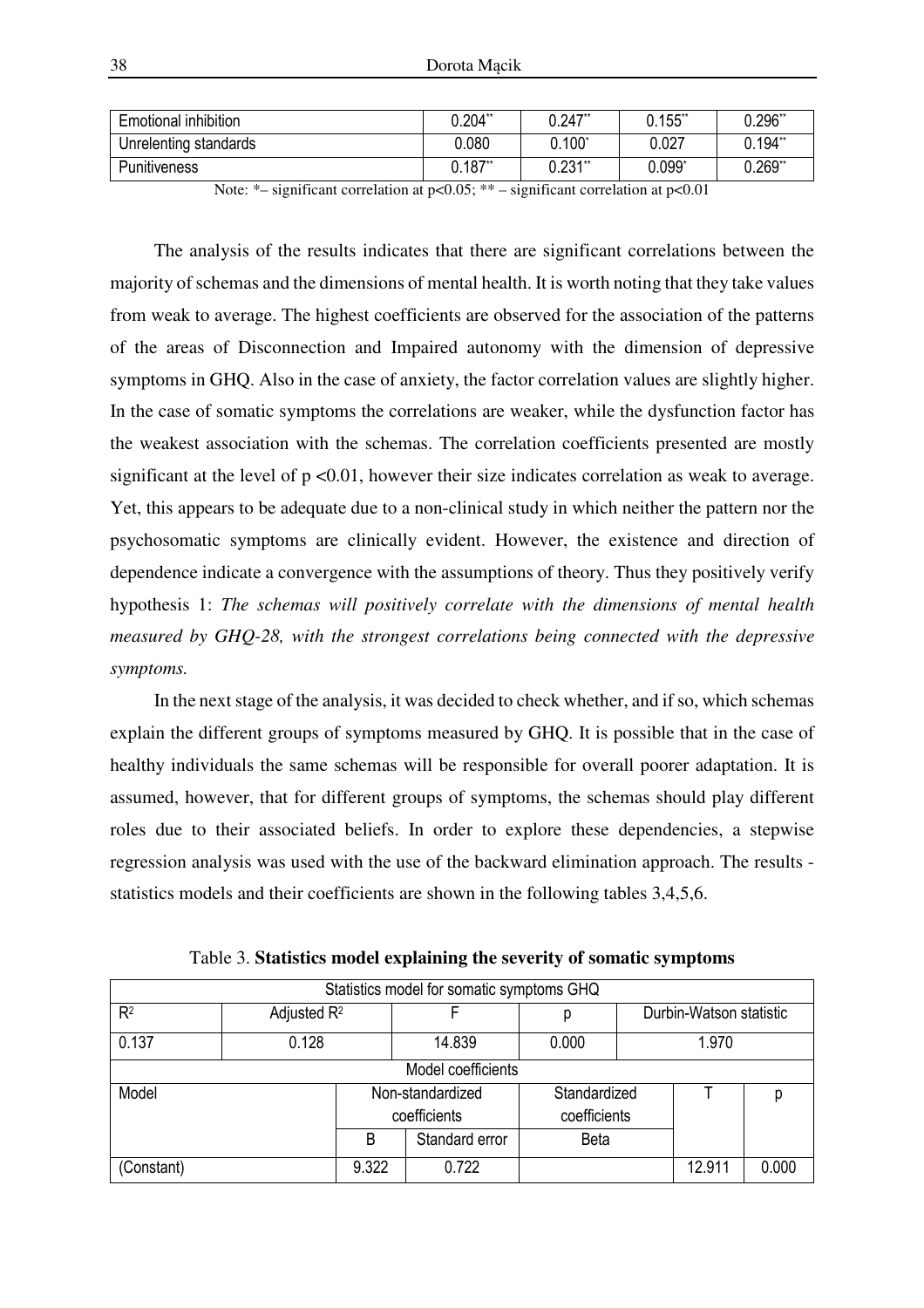| <b>Emotional inhibition</b> | $0.204$ ** | $0.247$ **     | $0.155$ ** | $0.296$ ** |
|-----------------------------|------------|----------------|------------|------------|
| Unrelenting standards       | 0.080      | $0.100^*$      | 0.027      | $0.194**$  |
| <b>Punitiveness</b>         | 0.187"     | $0.231^{\ast}$ | 0.099      | $0.269**$  |

Note:  $*-$  significant correlation at  $p<0.05; ** -$  significant correlation at  $p<0.01$ 

The analysis of the results indicates that there are significant correlations between the majority of schemas and the dimensions of mental health. It is worth noting that they take values from weak to average. The highest coefficients are observed for the association of the patterns of the areas of Disconnection and Impaired autonomy with the dimension of depressive symptoms in GHQ. Also in the case of anxiety, the factor correlation values are slightly higher. In the case of somatic symptoms the correlations are weaker, while the dysfunction factor has the weakest association with the schemas. The correlation coefficients presented are mostly significant at the level of  $p \le 0.01$ , however their size indicates correlation as weak to average. Yet, this appears to be adequate due to a non-clinical study in which neither the pattern nor the psychosomatic symptoms are clinically evident. However, the existence and direction of dependence indicate a convergence with the assumptions of theory. Thus they positively verify hypothesis 1: *The schemas will positively correlate with the dimensions of mental health measured by GHQ-28, with the strongest correlations being connected with the depressive symptoms.* 

In the next stage of the analysis, it was decided to check whether, and if so, which schemas explain the different groups of symptoms measured by GHQ. It is possible that in the case of healthy individuals the same schemas will be responsible for overall poorer adaptation. It is assumed, however, that for different groups of symptoms, the schemas should play different roles due to their associated beliefs. In order to explore these dependencies, a stepwise regression analysis was used with the use of the backward elimination approach. The results statistics models and their coefficients are shown in the following tables 3,4,5,6.

|                |                    |       | Statistics model for somatic symptoms GHQ |              |              |                         |       |  |  |  |  |
|----------------|--------------------|-------|-------------------------------------------|--------------|--------------|-------------------------|-------|--|--|--|--|
| R <sup>2</sup> | Adjusted $R^2$     |       | F                                         | р            |              | Durbin-Watson statistic |       |  |  |  |  |
| 0.137          | 0.128              |       | 14.839                                    | 0.000        | 1.970        |                         |       |  |  |  |  |
|                | Model coefficients |       |                                           |              |              |                         |       |  |  |  |  |
| Model          |                    |       | Non-standardized                          | Standardized |              |                         |       |  |  |  |  |
|                |                    |       | coefficients                              |              | coefficients |                         |       |  |  |  |  |
|                |                    | B     | Standard error                            | <b>Beta</b>  |              |                         |       |  |  |  |  |
| (Constant)     |                    | 9.322 | 0.722                                     |              |              | 12.911                  | 0.000 |  |  |  |  |

Table 3. **Statistics model explaining the severity of somatic symptoms**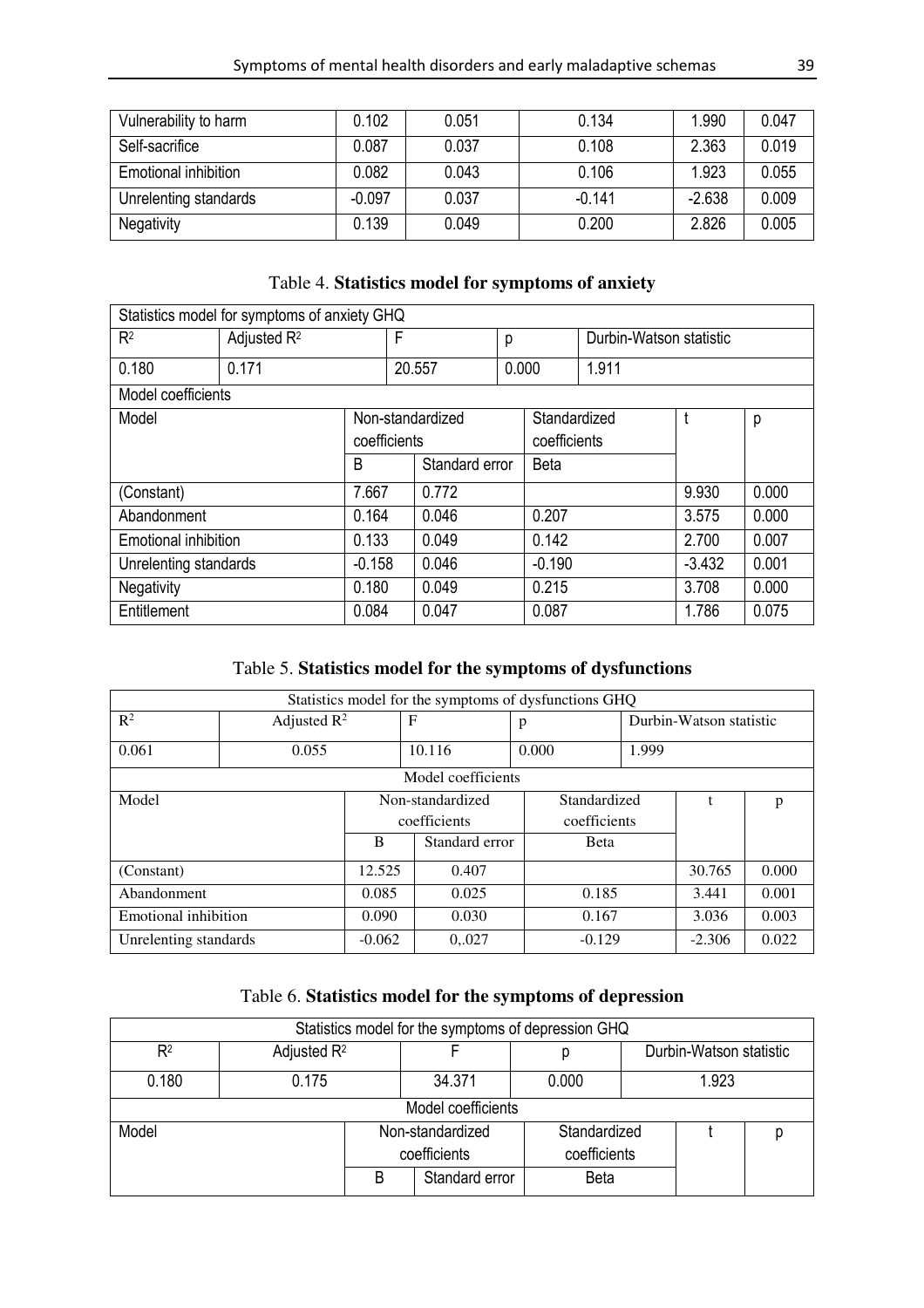| Vulnerability to harm | 0.102    | 0.051 | 0.134    | 1.990    | 0.047 |
|-----------------------|----------|-------|----------|----------|-------|
| Self-sacrifice        | 0.087    | 0.037 | 0.108    | 2.363    | 0.019 |
| Emotional inhibition  | 0.082    | 0.043 | 0.106    | 1.923    | 0.055 |
| Unrelenting standards | $-0.097$ | 0.037 | $-0.141$ | $-2.638$ | 0.009 |
| <b>Negativity</b>     | 0.139    | 0.049 | 0.200    | 2.826    | 0.005 |

# Table 4. **Statistics model for symptoms of anxiety**

| Statistics model for symptoms of anxiety GHQ |                         |              |                 |                  |  |              |                         |          |       |
|----------------------------------------------|-------------------------|--------------|-----------------|------------------|--|--------------|-------------------------|----------|-------|
| R <sup>2</sup>                               | Adjusted R <sup>2</sup> |              | F               | р                |  |              | Durbin-Watson statistic |          |       |
| 0.180                                        | 0.171                   |              | 0.000<br>20.557 |                  |  | 1.911        |                         |          |       |
| Model coefficients                           |                         |              |                 |                  |  |              |                         |          |       |
| Model                                        |                         |              |                 | Non-standardized |  | Standardized |                         |          | p     |
|                                              |                         | coefficients |                 | coefficients     |  |              |                         |          |       |
|                                              |                         | B            |                 | Standard error   |  | <b>Beta</b>  |                         |          |       |
| (Constant)                                   |                         | 7.667        |                 | 0.772            |  |              |                         | 9.930    | 0.000 |
| Abandonment                                  |                         | 0.164        |                 | 0.046            |  | 0.207        |                         | 3.575    | 0.000 |
| Emotional inhibition                         |                         | 0.133        |                 | 0.049            |  | 0.142        |                         | 2.700    | 0.007 |
| Unrelenting standards                        |                         | $-0.158$     |                 | 0.046            |  | $-0.190$     |                         | $-3.432$ | 0.001 |
| Negativity                                   |                         | 0.180        |                 | 0.049            |  | 0.215        |                         | 3.708    | 0.000 |
| Entitlement                                  |                         | 0.084        |                 | 0.047            |  | 0.087        |                         | 1.786    | 0.075 |

# Table 5. **Statistics model for the symptoms of dysfunctions**

|                       | Statistics model for the symptoms of dysfunctions GHQ |          |                  |              |                         |          |       |  |  |  |
|-----------------------|-------------------------------------------------------|----------|------------------|--------------|-------------------------|----------|-------|--|--|--|
| $R^2$                 | Adjusted $R^2$                                        |          | $\mathbf F$      | p            | Durbin-Watson statistic |          |       |  |  |  |
| 0.061                 | 0.055                                                 |          | 10.116           | 0.000        | 1.999                   |          |       |  |  |  |
|                       | Model coefficients                                    |          |                  |              |                         |          |       |  |  |  |
| Model                 |                                                       |          | Non-standardized |              | Standardized            |          | p     |  |  |  |
|                       |                                                       |          | coefficients     | coefficients |                         |          |       |  |  |  |
|                       |                                                       | B        | Standard error   | <b>B</b> eta |                         |          |       |  |  |  |
| (Constant)            |                                                       | 12.525   | 0.407            |              |                         | 30.765   | 0.000 |  |  |  |
| Abandonment           |                                                       | 0.085    | 0.025            | 0.185        |                         | 3.441    | 0.001 |  |  |  |
| Emotional inhibition  |                                                       | 0.090    | 0.030            | 0.167        |                         | 3.036    | 0.003 |  |  |  |
| Unrelenting standards |                                                       | $-0.062$ | 0,027            | $-0.129$     |                         | $-2.306$ | 0.022 |  |  |  |

# Table 6. **Statistics model for the symptoms of depression**

|       |                    |              |                  | Statistics model for the symptoms of depression GHQ |                         |  |  |  |  |  |  |
|-------|--------------------|--------------|------------------|-----------------------------------------------------|-------------------------|--|--|--|--|--|--|
| $R^2$ | Adjusted $R^2$     |              |                  | р                                                   | Durbin-Watson statistic |  |  |  |  |  |  |
| 0.180 | 0.175              |              | 34.371           | 0.000                                               | 1.923                   |  |  |  |  |  |  |
|       | Model coefficients |              |                  |                                                     |                         |  |  |  |  |  |  |
| Model |                    |              | Non-standardized | Standardized                                        |                         |  |  |  |  |  |  |
|       |                    | coefficients |                  | coefficients                                        |                         |  |  |  |  |  |  |
|       |                    | B            | Standard error   | <b>Beta</b>                                         |                         |  |  |  |  |  |  |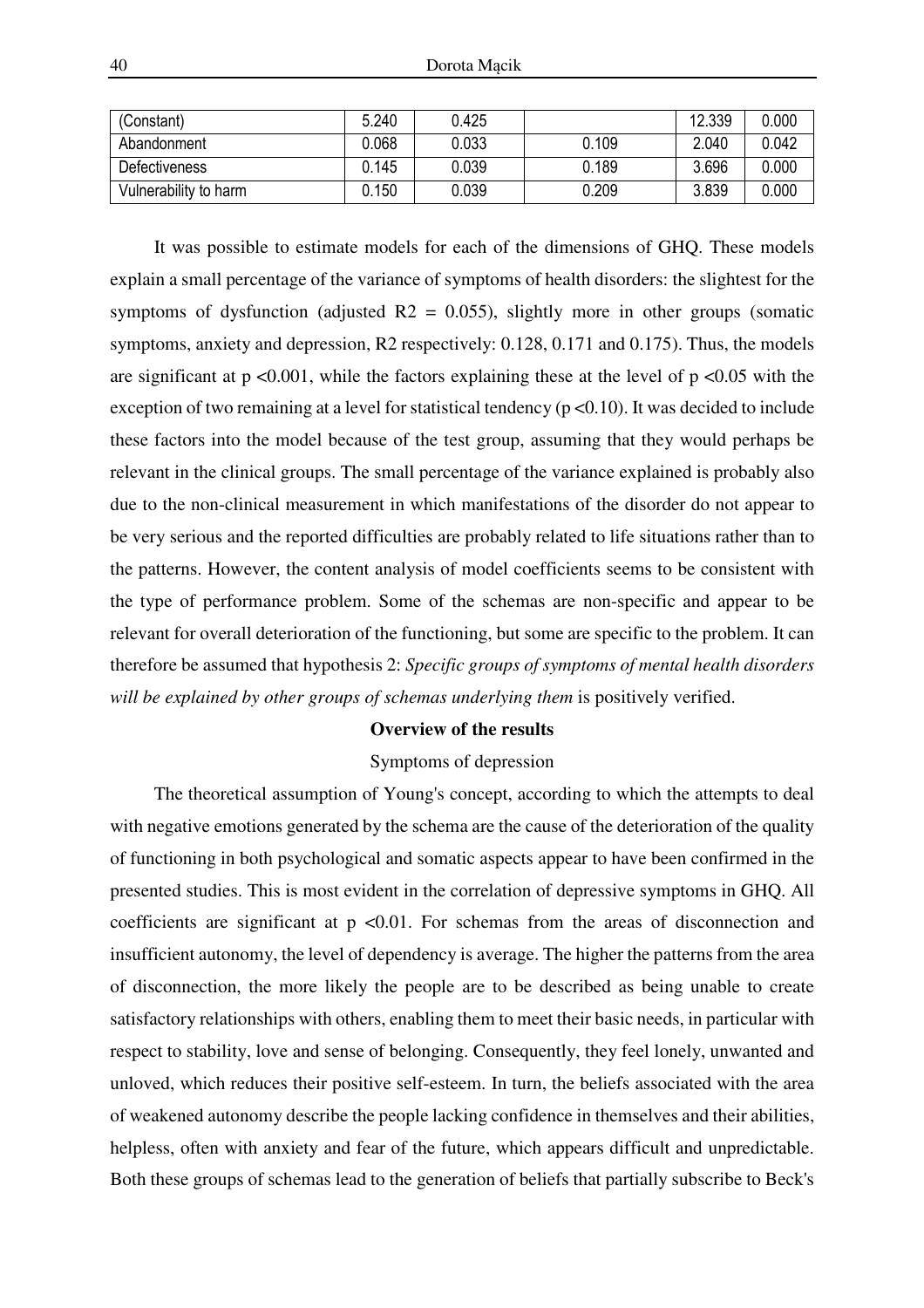| (Constant)            | 5.240 | 0.425 |       | 12.339 | 0.000 |
|-----------------------|-------|-------|-------|--------|-------|
| Abandonment           | 0.068 | 0.033 | 0.109 | 2.040  | 0.042 |
| <b>Defectiveness</b>  | 0.145 | 0.039 | 0.189 | 3.696  | 0.000 |
| Vulnerability to harm | 0.150 | 0.039 | 0.209 | 3.839  | 0.000 |

It was possible to estimate models for each of the dimensions of GHQ. These models explain a small percentage of the variance of symptoms of health disorders: the slightest for the symptoms of dysfunction (adjusted  $R2 = 0.055$ ), slightly more in other groups (somatic symptoms, anxiety and depression, R2 respectively: 0.128, 0.171 and 0.175). Thus, the models are significant at  $p \le 0.001$ , while the factors explaining these at the level of  $p \le 0.05$  with the exception of two remaining at a level for statistical tendency ( $p < 0.10$ ). It was decided to include these factors into the model because of the test group, assuming that they would perhaps be relevant in the clinical groups. The small percentage of the variance explained is probably also due to the non-clinical measurement in which manifestations of the disorder do not appear to be very serious and the reported difficulties are probably related to life situations rather than to the patterns. However, the content analysis of model coefficients seems to be consistent with the type of performance problem. Some of the schemas are non-specific and appear to be relevant for overall deterioration of the functioning, but some are specific to the problem. It can therefore be assumed that hypothesis 2: *Specific groups of symptoms of mental health disorders*  will be explained by other groups of schemas underlying them is positively verified.

#### **Overview of the results**

### Symptoms of depression

The theoretical assumption of Young's concept, according to which the attempts to deal with negative emotions generated by the schema are the cause of the deterioration of the quality of functioning in both psychological and somatic aspects appear to have been confirmed in the presented studies. This is most evident in the correlation of depressive symptoms in GHQ. All coefficients are significant at  $p \le 0.01$ . For schemas from the areas of disconnection and insufficient autonomy, the level of dependency is average. The higher the patterns from the area of disconnection, the more likely the people are to be described as being unable to create satisfactory relationships with others, enabling them to meet their basic needs, in particular with respect to stability, love and sense of belonging. Consequently, they feel lonely, unwanted and unloved, which reduces their positive self-esteem. In turn, the beliefs associated with the area of weakened autonomy describe the people lacking confidence in themselves and their abilities, helpless, often with anxiety and fear of the future, which appears difficult and unpredictable. Both these groups of schemas lead to the generation of beliefs that partially subscribe to Beck's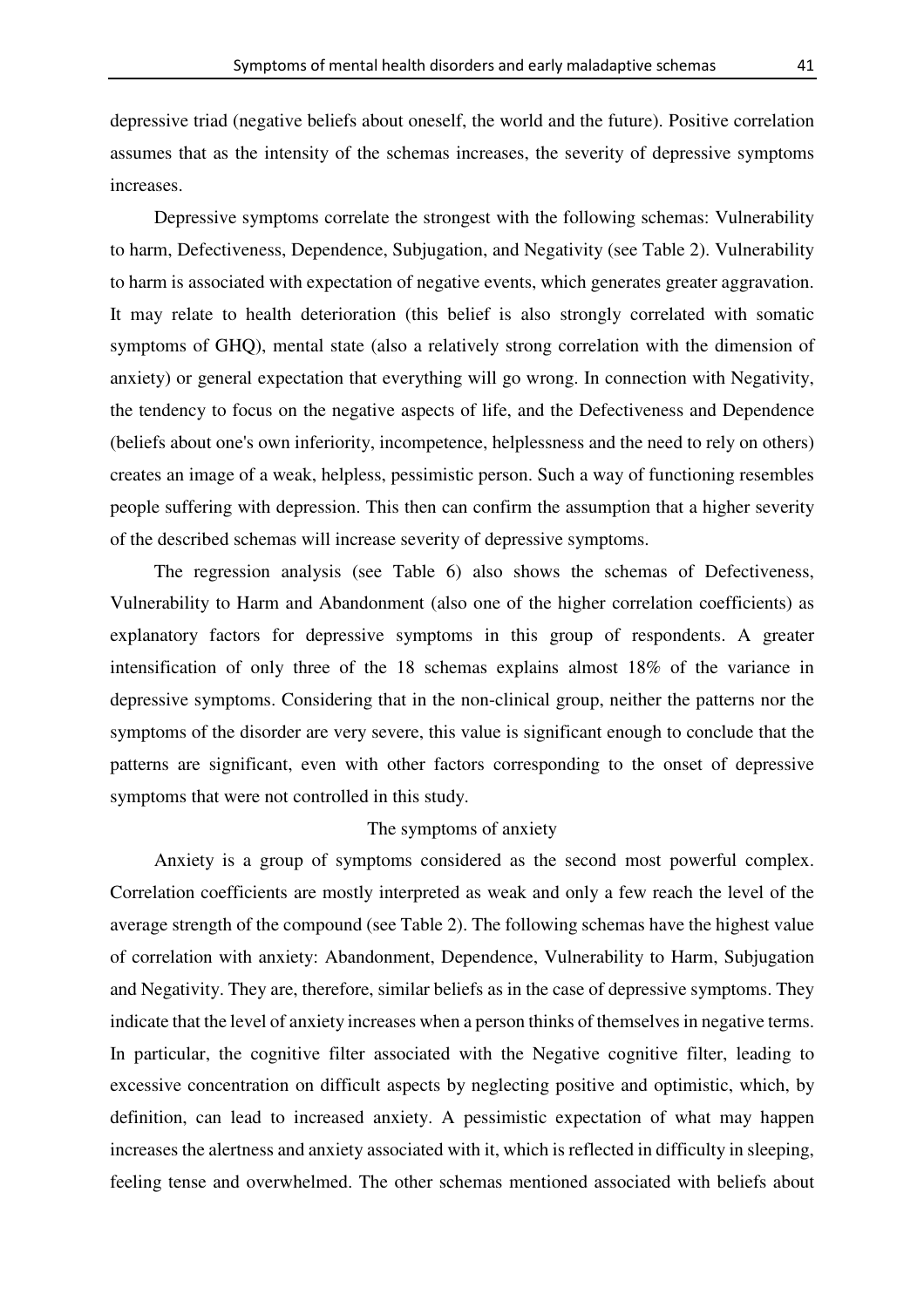depressive triad (negative beliefs about oneself, the world and the future). Positive correlation assumes that as the intensity of the schemas increases, the severity of depressive symptoms increases.

Depressive symptoms correlate the strongest with the following schemas: Vulnerability to harm, Defectiveness, Dependence, Subjugation, and Negativity (see Table 2). Vulnerability to harm is associated with expectation of negative events, which generates greater aggravation. It may relate to health deterioration (this belief is also strongly correlated with somatic symptoms of GHQ), mental state (also a relatively strong correlation with the dimension of anxiety) or general expectation that everything will go wrong. In connection with Negativity, the tendency to focus on the negative aspects of life, and the Defectiveness and Dependence (beliefs about one's own inferiority, incompetence, helplessness and the need to rely on others) creates an image of a weak, helpless, pessimistic person. Such a way of functioning resembles people suffering with depression. This then can confirm the assumption that a higher severity of the described schemas will increase severity of depressive symptoms.

The regression analysis (see Table 6) also shows the schemas of Defectiveness, Vulnerability to Harm and Abandonment (also one of the higher correlation coefficients) as explanatory factors for depressive symptoms in this group of respondents. A greater intensification of only three of the 18 schemas explains almost 18% of the variance in depressive symptoms. Considering that in the non-clinical group, neither the patterns nor the symptoms of the disorder are very severe, this value is significant enough to conclude that the patterns are significant, even with other factors corresponding to the onset of depressive symptoms that were not controlled in this study.

### The symptoms of anxiety

Anxiety is a group of symptoms considered as the second most powerful complex. Correlation coefficients are mostly interpreted as weak and only a few reach the level of the average strength of the compound (see Table 2). The following schemas have the highest value of correlation with anxiety: Abandonment, Dependence, Vulnerability to Harm, Subjugation and Negativity. They are, therefore, similar beliefs as in the case of depressive symptoms. They indicate that the level of anxiety increases when a person thinks of themselves in negative terms. In particular, the cognitive filter associated with the Negative cognitive filter, leading to excessive concentration on difficult aspects by neglecting positive and optimistic, which, by definition, can lead to increased anxiety. A pessimistic expectation of what may happen increases the alertness and anxiety associated with it, which is reflected in difficulty in sleeping, feeling tense and overwhelmed. The other schemas mentioned associated with beliefs about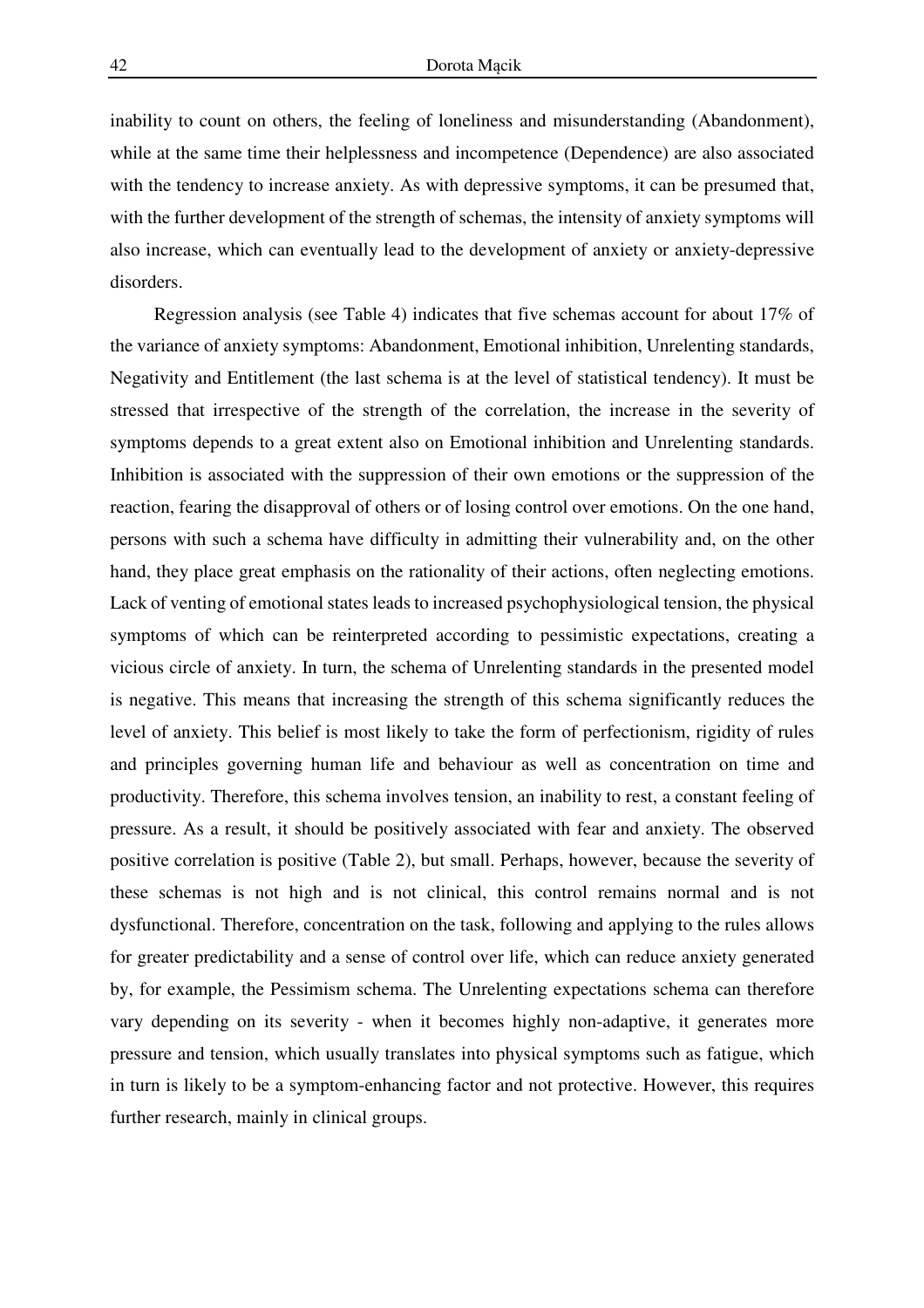inability to count on others, the feeling of loneliness and misunderstanding (Abandonment), while at the same time their helplessness and incompetence (Dependence) are also associated with the tendency to increase anxiety. As with depressive symptoms, it can be presumed that, with the further development of the strength of schemas, the intensity of anxiety symptoms will also increase, which can eventually lead to the development of anxiety or anxiety-depressive disorders.

Regression analysis (see Table 4) indicates that five schemas account for about 17% of the variance of anxiety symptoms: Abandonment, Emotional inhibition, Unrelenting standards, Negativity and Entitlement (the last schema is at the level of statistical tendency). It must be stressed that irrespective of the strength of the correlation, the increase in the severity of symptoms depends to a great extent also on Emotional inhibition and Unrelenting standards. Inhibition is associated with the suppression of their own emotions or the suppression of the reaction, fearing the disapproval of others or of losing control over emotions. On the one hand, persons with such a schema have difficulty in admitting their vulnerability and, on the other hand, they place great emphasis on the rationality of their actions, often neglecting emotions. Lack of venting of emotional states leads to increased psychophysiological tension, the physical symptoms of which can be reinterpreted according to pessimistic expectations, creating a vicious circle of anxiety. In turn, the schema of Unrelenting standards in the presented model is negative. This means that increasing the strength of this schema significantly reduces the level of anxiety. This belief is most likely to take the form of perfectionism, rigidity of rules and principles governing human life and behaviour as well as concentration on time and productivity. Therefore, this schema involves tension, an inability to rest, a constant feeling of pressure. As a result, it should be positively associated with fear and anxiety. The observed positive correlation is positive (Table 2), but small. Perhaps, however, because the severity of these schemas is not high and is not clinical, this control remains normal and is not dysfunctional. Therefore, concentration on the task, following and applying to the rules allows for greater predictability and a sense of control over life, which can reduce anxiety generated by, for example, the Pessimism schema. The Unrelenting expectations schema can therefore vary depending on its severity - when it becomes highly non-adaptive, it generates more pressure and tension, which usually translates into physical symptoms such as fatigue, which in turn is likely to be a symptom-enhancing factor and not protective. However, this requires further research, mainly in clinical groups.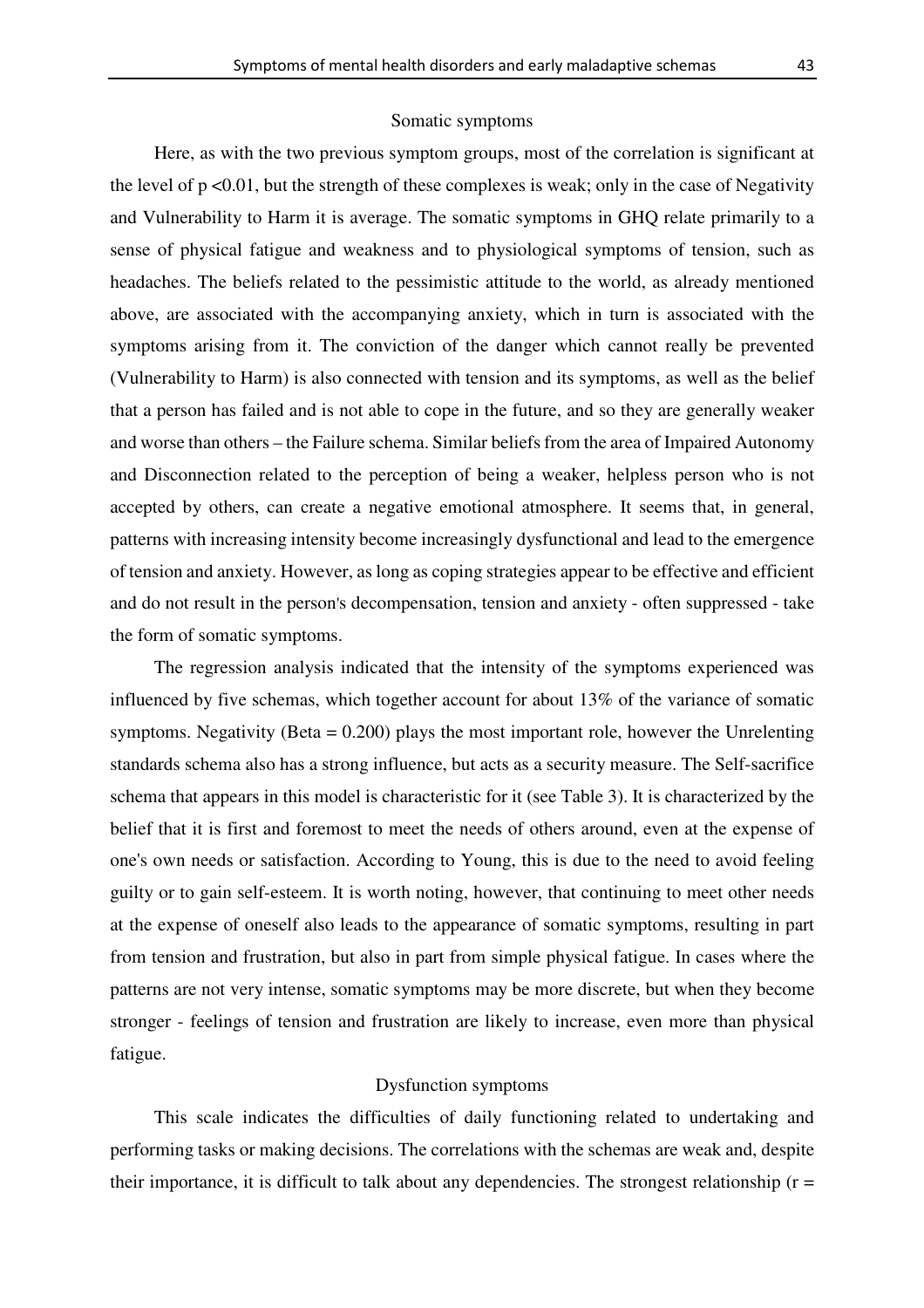#### Somatic symptoms

Here, as with the two previous symptom groups, most of the correlation is significant at the level of  $p \le 0.01$ , but the strength of these complexes is weak; only in the case of Negativity and Vulnerability to Harm it is average. The somatic symptoms in GHQ relate primarily to a sense of physical fatigue and weakness and to physiological symptoms of tension, such as headaches. The beliefs related to the pessimistic attitude to the world, as already mentioned above, are associated with the accompanying anxiety, which in turn is associated with the symptoms arising from it. The conviction of the danger which cannot really be prevented (Vulnerability to Harm) is also connected with tension and its symptoms, as well as the belief that a person has failed and is not able to cope in the future, and so they are generally weaker and worse than others – the Failure schema. Similar beliefs from the area of Impaired Autonomy and Disconnection related to the perception of being a weaker, helpless person who is not accepted by others, can create a negative emotional atmosphere. It seems that, in general, patterns with increasing intensity become increasingly dysfunctional and lead to the emergence of tension and anxiety. However, as long as coping strategies appear to be effective and efficient and do not result in the person's decompensation, tension and anxiety - often suppressed - take the form of somatic symptoms.

The regression analysis indicated that the intensity of the symptoms experienced was influenced by five schemas, which together account for about 13% of the variance of somatic symptoms. Negativity (Beta  $= 0.200$ ) plays the most important role, however the Unrelenting standards schema also has a strong influence, but acts as a security measure. The Self-sacrifice schema that appears in this model is characteristic for it (see Table 3). It is characterized by the belief that it is first and foremost to meet the needs of others around, even at the expense of one's own needs or satisfaction. According to Young, this is due to the need to avoid feeling guilty or to gain self-esteem. It is worth noting, however, that continuing to meet other needs at the expense of oneself also leads to the appearance of somatic symptoms, resulting in part from tension and frustration, but also in part from simple physical fatigue. In cases where the patterns are not very intense, somatic symptoms may be more discrete, but when they become stronger - feelings of tension and frustration are likely to increase, even more than physical fatigue.

### Dysfunction symptoms

This scale indicates the difficulties of daily functioning related to undertaking and performing tasks or making decisions. The correlations with the schemas are weak and, despite their importance, it is difficult to talk about any dependencies. The strongest relationship  $(r =$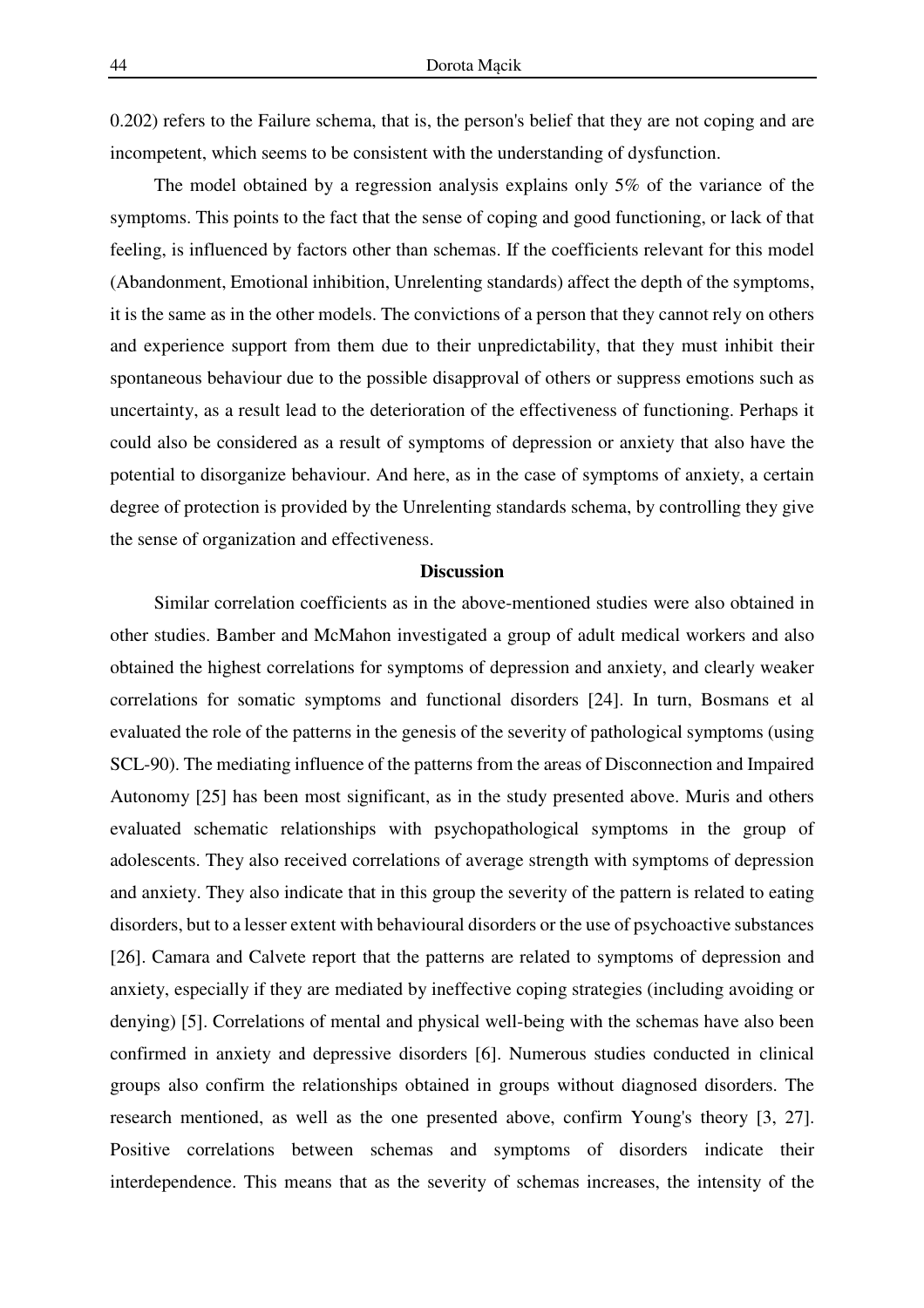0.202) refers to the Failure schema, that is, the person's belief that they are not coping and are incompetent, which seems to be consistent with the understanding of dysfunction.

The model obtained by a regression analysis explains only 5% of the variance of the symptoms. This points to the fact that the sense of coping and good functioning, or lack of that feeling, is influenced by factors other than schemas. If the coefficients relevant for this model (Abandonment, Emotional inhibition, Unrelenting standards) affect the depth of the symptoms, it is the same as in the other models. The convictions of a person that they cannot rely on others and experience support from them due to their unpredictability, that they must inhibit their spontaneous behaviour due to the possible disapproval of others or suppress emotions such as uncertainty, as a result lead to the deterioration of the effectiveness of functioning. Perhaps it could also be considered as a result of symptoms of depression or anxiety that also have the potential to disorganize behaviour. And here, as in the case of symptoms of anxiety, a certain degree of protection is provided by the Unrelenting standards schema, by controlling they give the sense of organization and effectiveness.

### **Discussion**

Similar correlation coefficients as in the above-mentioned studies were also obtained in other studies. Bamber and McMahon investigated a group of adult medical workers and also obtained the highest correlations for symptoms of depression and anxiety, and clearly weaker correlations for somatic symptoms and functional disorders [24]. In turn, Bosmans et al evaluated the role of the patterns in the genesis of the severity of pathological symptoms (using SCL-90). The mediating influence of the patterns from the areas of Disconnection and Impaired Autonomy [25] has been most significant, as in the study presented above. Muris and others evaluated schematic relationships with psychopathological symptoms in the group of adolescents. They also received correlations of average strength with symptoms of depression and anxiety. They also indicate that in this group the severity of the pattern is related to eating disorders, but to a lesser extent with behavioural disorders or the use of psychoactive substances [26]. Camara and Calvete report that the patterns are related to symptoms of depression and anxiety, especially if they are mediated by ineffective coping strategies (including avoiding or denying) [5]. Correlations of mental and physical well-being with the schemas have also been confirmed in anxiety and depressive disorders [6]. Numerous studies conducted in clinical groups also confirm the relationships obtained in groups without diagnosed disorders. The research mentioned, as well as the one presented above, confirm Young's theory [3, 27]. Positive correlations between schemas and symptoms of disorders indicate their interdependence. This means that as the severity of schemas increases, the intensity of the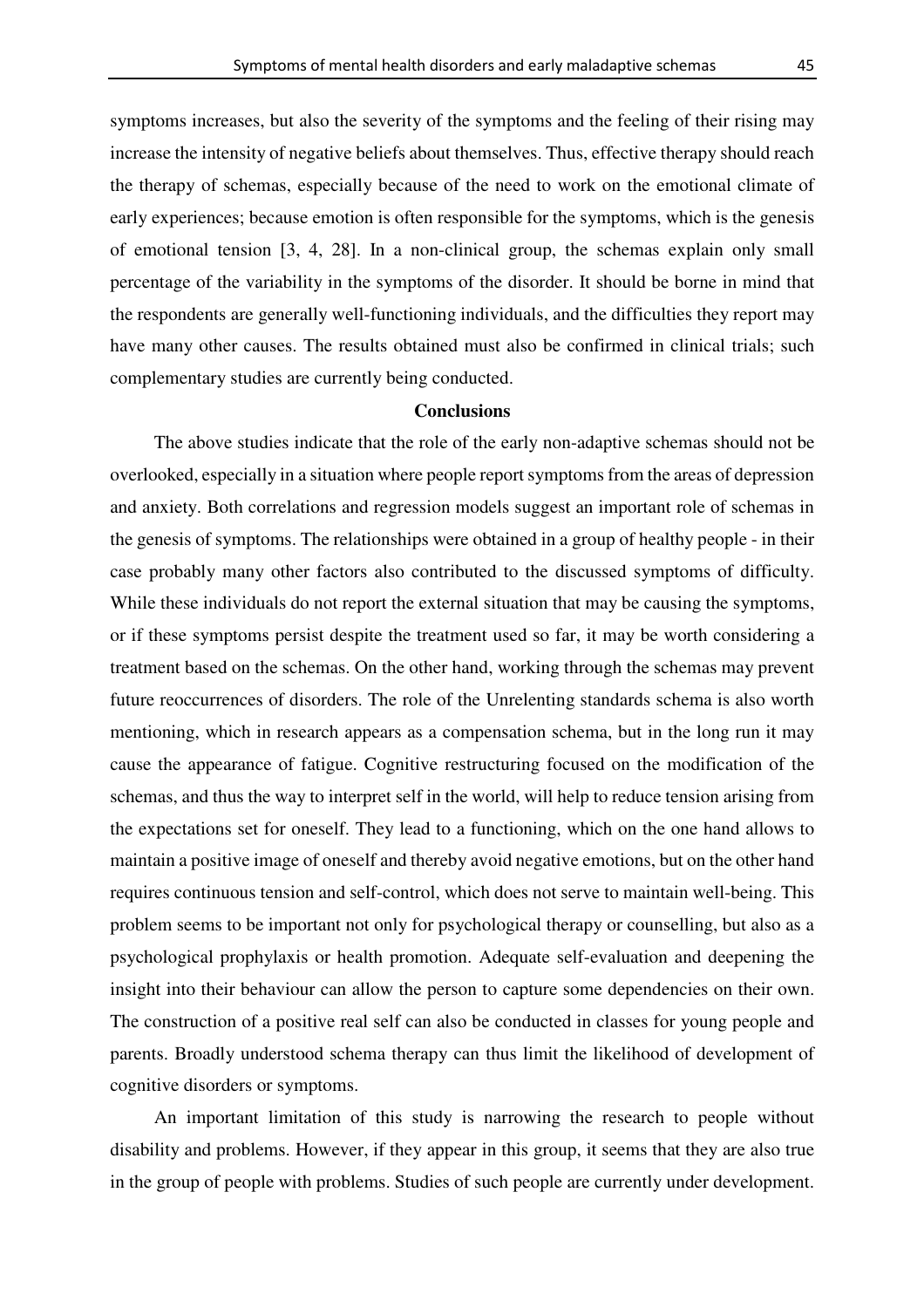symptoms increases, but also the severity of the symptoms and the feeling of their rising may increase the intensity of negative beliefs about themselves. Thus, effective therapy should reach the therapy of schemas, especially because of the need to work on the emotional climate of early experiences; because emotion is often responsible for the symptoms, which is the genesis of emotional tension [3, 4, 28]. In a non-clinical group, the schemas explain only small percentage of the variability in the symptoms of the disorder. It should be borne in mind that the respondents are generally well-functioning individuals, and the difficulties they report may have many other causes. The results obtained must also be confirmed in clinical trials; such complementary studies are currently being conducted.

#### **Conclusions**

The above studies indicate that the role of the early non-adaptive schemas should not be overlooked, especially in a situation where people report symptoms from the areas of depression and anxiety. Both correlations and regression models suggest an important role of schemas in the genesis of symptoms. The relationships were obtained in a group of healthy people - in their case probably many other factors also contributed to the discussed symptoms of difficulty. While these individuals do not report the external situation that may be causing the symptoms, or if these symptoms persist despite the treatment used so far, it may be worth considering a treatment based on the schemas. On the other hand, working through the schemas may prevent future reoccurrences of disorders. The role of the Unrelenting standards schema is also worth mentioning, which in research appears as a compensation schema, but in the long run it may cause the appearance of fatigue. Cognitive restructuring focused on the modification of the schemas, and thus the way to interpret self in the world, will help to reduce tension arising from the expectations set for oneself. They lead to a functioning, which on the one hand allows to maintain a positive image of oneself and thereby avoid negative emotions, but on the other hand requires continuous tension and self-control, which does not serve to maintain well-being. This problem seems to be important not only for psychological therapy or counselling, but also as a psychological prophylaxis or health promotion. Adequate self-evaluation and deepening the insight into their behaviour can allow the person to capture some dependencies on their own. The construction of a positive real self can also be conducted in classes for young people and parents. Broadly understood schema therapy can thus limit the likelihood of development of cognitive disorders or symptoms.

An important limitation of this study is narrowing the research to people without disability and problems. However, if they appear in this group, it seems that they are also true in the group of people with problems. Studies of such people are currently under development.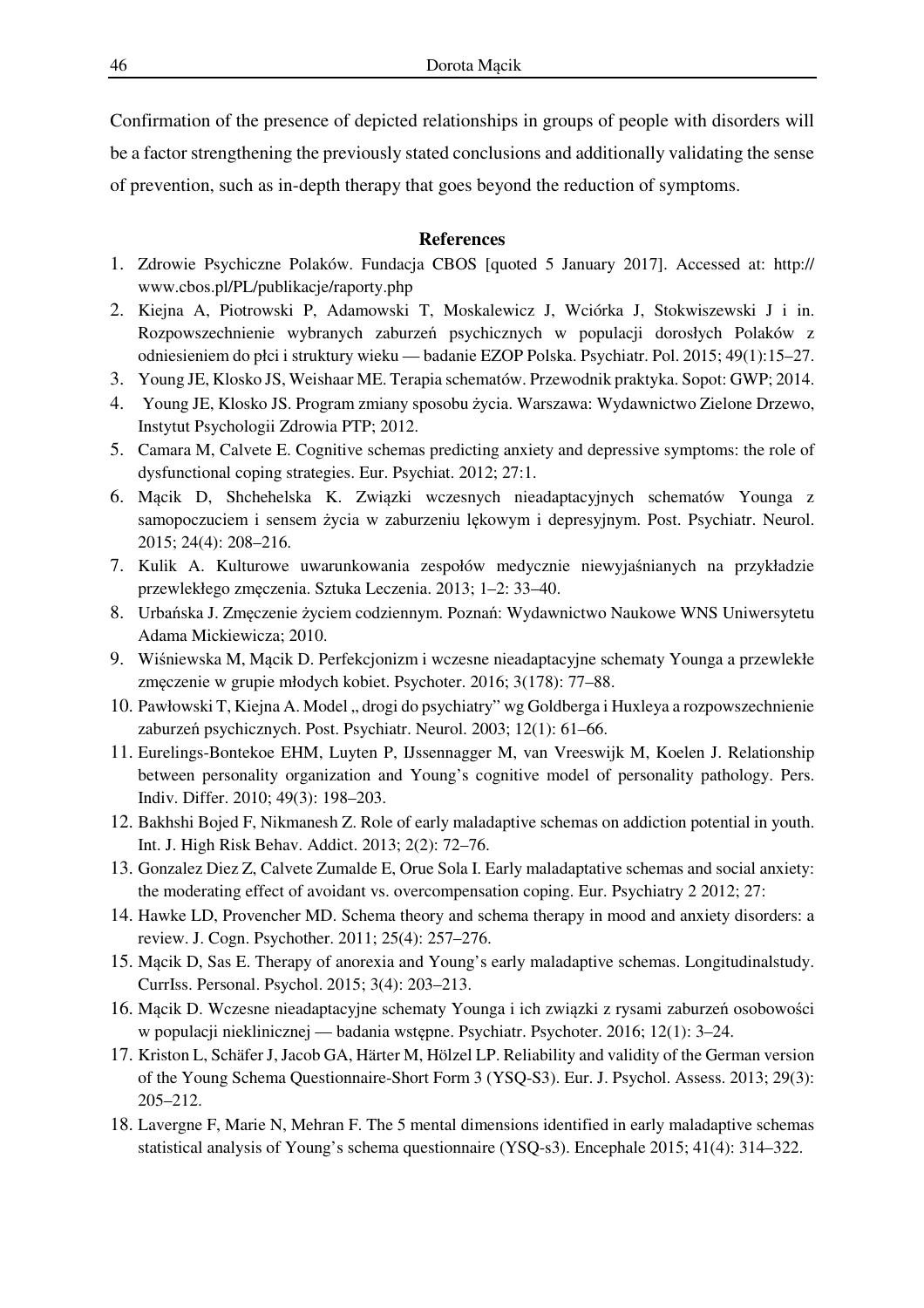Confirmation of the presence of depicted relationships in groups of people with disorders will be a factor strengthening the previously stated conclusions and additionally validating the sense of prevention, such as in-depth therapy that goes beyond the reduction of symptoms.

### **References**

- 1. Zdrowie Psychiczne Polaków. Fundacja CBOS [quoted 5 January 2017]. Accessed at: http:// www.cbos.pl/PL/publikacje/raporty.php
- 2. Kiejna A, Piotrowski P, Adamowski T, Moskalewicz J, Wciórka J, Stokwiszewski J i in. Rozpowszechnienie wybranych zaburzeń psychicznych w populacji dorosłych Polaków z odniesieniem do płci i struktury wieku — badanie EZOP Polska. Psychiatr. Pol. 2015; 49(1):15–27.
- 3. Young JE, Klosko JS, Weishaar ME. Terapia schematów. Przewodnik praktyka. Sopot: GWP; 2014.
- 4. Young JE, Klosko JS. Program zmiany sposobu życia. Warszawa: Wydawnictwo Zielone Drzewo, Instytut Psychologii Zdrowia PTP; 2012.
- 5. Camara M, Calvete E. Cognitive schemas predicting anxiety and depressive symptoms: the role of dysfunctional coping strategies. Eur. Psychiat. 2012; 27:1.
- 6. Mącik D, Shchehelska K. Związki wczesnych nieadaptacyjnych schematów Younga z samopoczuciem i sensem życia w zaburzeniu lękowym i depresyjnym. Post. Psychiatr. Neurol. 2015; 24(4): 208–216.
- 7. Kulik A. Kulturowe uwarunkowania zespołów medycznie niewyjaśnianych na przykładzie przewlekłego zmęczenia. Sztuka Leczenia. 2013; 1–2: 33–40.
- 8. Urbańska J. Zmęczenie życiem codziennym. Poznań: Wydawnictwo Naukowe WNS Uniwersytetu Adama Mickiewicza; 2010.
- 9. Wiśniewska M, Mącik D. Perfekcjonizm i wczesne nieadaptacyjne schematy Younga a przewlekłe zmęczenie w grupie młodych kobiet. Psychoter. 2016; 3(178): 77–88.
- 10. Pawłowski T, Kiejna A. Model " drogi do psychiatry" wg Goldberga i Huxleya a rozpowszechnienie zaburzeń psychicznych. Post. Psychiatr. Neurol. 2003; 12(1): 61–66.
- 11. Eurelings-Bontekoe EHM, Luyten P, IJssennagger M, van Vreeswijk M, Koelen J. Relationship between personality organization and Young's cognitive model of personality pathology. Pers. Indiv. Differ. 2010; 49(3): 198–203.
- 12. Bakhshi Bojed F, Nikmanesh Z. Role of early maladaptive schemas on addiction potential in youth. Int. J. High Risk Behav. Addict. 2013; 2(2): 72–76.
- 13. Gonzalez Diez Z, Calvete Zumalde E, Orue Sola I. Early maladaptative schemas and social anxiety: the moderating effect of avoidant vs. overcompensation coping. Eur. Psychiatry 2 2012; 27:
- 14. Hawke LD, Provencher MD. Schema theory and schema therapy in mood and anxiety disorders: a review. J. Cogn. Psychother. 2011; 25(4): 257–276.
- 15. Mącik D, Sas E. Therapy of anorexia and Young's early maladaptive schemas. Longitudinalstudy. CurrIss. Personal. Psychol. 2015; 3(4): 203–213.
- 16. Mącik D. Wczesne nieadaptacyjne schematy Younga i ich związki z rysami zaburzeń osobowości w populacji nieklinicznej — badania wstępne. Psychiatr. Psychoter. 2016; 12(1): 3–24.
- 17. Kriston L, Schäfer J, Jacob GA, Härter M, Hölzel LP. Reliability and validity of the German version of the Young Schema Questionnaire-Short Form 3 (YSQ-S3). Eur. J. Psychol. Assess. 2013; 29(3): 205–212.
- 18. Lavergne F, Marie N, Mehran F. The 5 mental dimensions identified in early maladaptive schemas statistical analysis of Young's schema questionnaire (YSQ-s3). Encephale 2015; 41(4): 314–322.